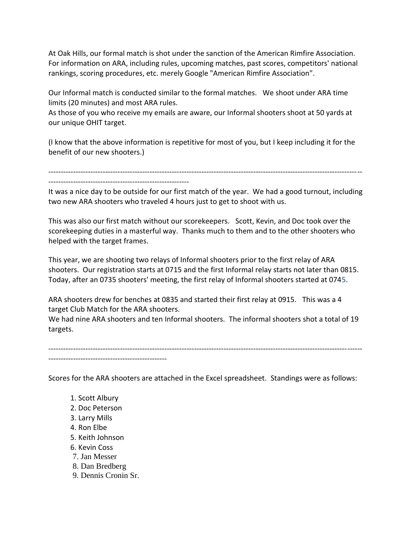At Oak Hills, our formal match is shot under the sanction of the American Rimfire Association. For information on ARA, including rules, upcoming matches, past scores, competitors' national rankings, scoring procedures, etc. merely Google "American Rimfire Association".

Our Informal match is conducted similar to the formal matches. We shoot under ARA time limits (20 minutes) and most ARA rules.

As those of you who receive my emails are aware, our Informal shooters shoot at 50 yards at our unique OHIT target.

(I know that the above information is repetitive for most of you, but I keep including it for the benefit of our new shooters.)

-------------------------------------------------------------------------------------------------------------------------------

It was a nice day to be outside for our first match of the year. We had a good turnout, including two new ARA shooters who traveled 4 hours just to get to shoot with us.

This was also our first match without our scorekeepers. Scott, Kevin, and Doc took over the scorekeeping duties in a masterful way. Thanks much to them and to the other shooters who helped with the target frames.

This year, we are shooting two relays of Informal shooters prior to the first relay of ARA shooters. Our registration starts at 0715 and the first Informal relay starts not later than 0815. Today, after an 0735 shooters' meeting, the first relay of Informal shooters started at 0745.

ARA shooters drew for benches at 0835 and started their first relay at 0915. This was a 4 target Club Match for the ARA shooters.

We had nine ARA shooters and ten Informal shooters. The informal shooters shot a total of 19 targets.

------------------------------------------------------------------------------------------------------------------------------- ------------------------------------------------

Scores for the ARA shooters are attached in the Excel spreadsheet. Standings were as follows:

1. Scott Albury

---------------------------------------------------------

- 2. Doc Peterson
- 3. Larry Mills
- 4. Ron Elbe
- 5. Keith Johnson
- 6. Kevin Coss
- 7. Jan Messer
- 8. Dan Bredberg
- 9. Dennis Cronin Sr.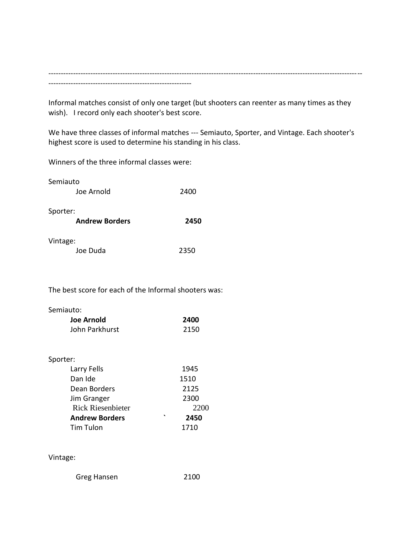------------------------------------------------------------------------------------------------------------------------------- ----------------------------------------------------------

Informal matches consist of only one target (but shooters can reenter as many times as they wish). I record only each shooter's best score.

We have three classes of informal matches --- Semiauto, Sporter, and Vintage. Each shooter's highest score is used to determine his standing in his class.

Winners of the three informal classes were:

| Semiauto                          |      |
|-----------------------------------|------|
| Joe Arnold                        | 2400 |
| Sporter:<br><b>Andrew Borders</b> | 2450 |
| Vintage:                          |      |
| Joe Duda                          | 2350 |

The best score for each of the Informal shooters was:

Semiauto:

| Joe Arnold     | 2400 |
|----------------|------|
| John Parkhurst | 2150 |

## Sporter:

| Larry Fells              | 1945            |
|--------------------------|-----------------|
| Dan Ide                  | 1510            |
| Dean Borders             | 2125            |
| Jim Granger              | 2300            |
| <b>Rick Riesenbieter</b> | 2200            |
| <b>Andrew Borders</b>    | $\cdot$<br>2450 |
| Tim Tulon                | 1710            |

## Vintage:

Greg Hansen 2100